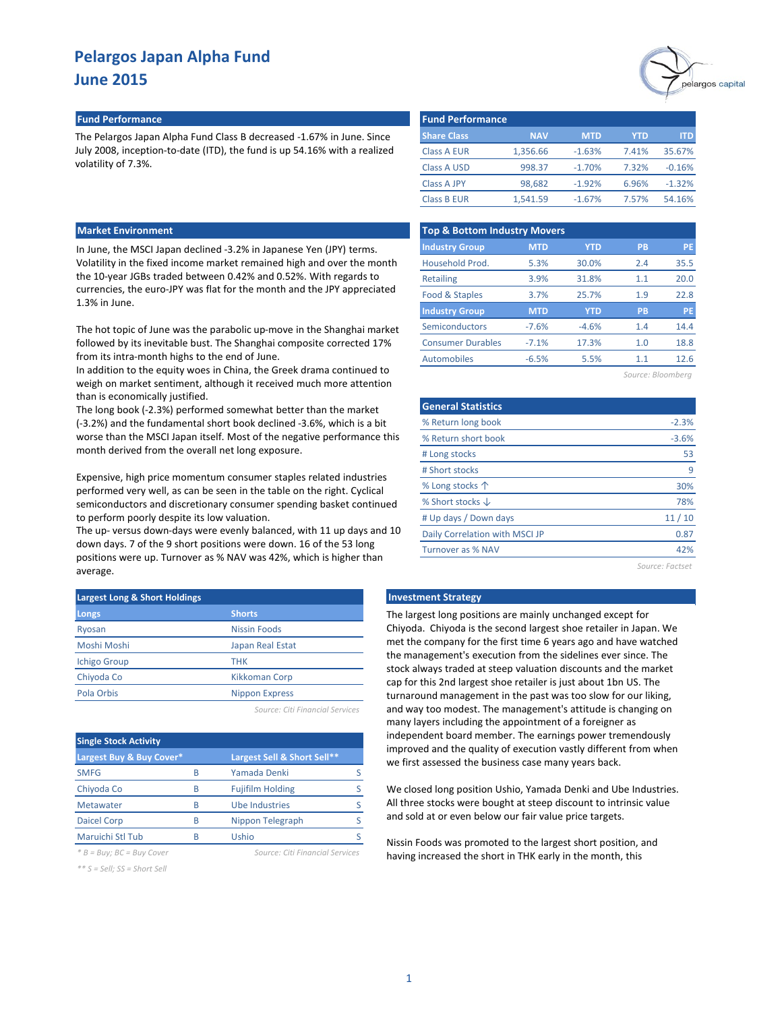## **Fund Performance Fund Performance**

The Pelargos Japan Alpha Fund Class B decreased -1.67% in June. Since July 2008, inception-to-date (ITD), the fund is up 54.16% with a realized volatility of 7.3%.

#### **Market Environment**

In June, the MSCI Japan declined -3.2% in Japanese Yen (JPY) terms. Volatility in the fixed income market remained high and over the month the 10-year JGBs traded between 0.42% and 0.52%. With regards to currencies, the euro-JPY was flat for the month and the JPY appreciated 1.3% in June.

The hot topic of June was the parabolic up-move in the Shanghai market followed by its inevitable bust. The Shanghai composite corrected 17% from its intra-month highs to the end of June.

In addition to the equity woes in China, the Greek drama continued to weigh on market sentiment, although it received much more attention than is economically justified.

The long book (-2.3%) performed somewhat better than the market (-3.2%) and the fundamental short book declined -3.6%, which is a bit worse than the MSCI Japan itself. Most of the negative performance this month derived from the overall net long exposure.

Expensive, high price momentum consumer staples related industries performed very well, as can be seen in the table on the right. Cyclical semiconductors and discretionary consumer spending basket continued to perform poorly despite its low valuation.

The up- versus down-days were evenly balanced, with 11 up days and 10 down days. 7 of the 9 short positions were down. 16 of the 53 long positions were up. Turnover as % NAV was 42%, which is higher than average.

| <b>Largest Long &amp; Short Holdings</b> |                       |  |  |  |  |  |  |
|------------------------------------------|-----------------------|--|--|--|--|--|--|
| <b>Longs</b>                             | <b>Shorts</b>         |  |  |  |  |  |  |
| Ryosan                                   | <b>Nissin Foods</b>   |  |  |  |  |  |  |
| Moshi Moshi                              | Japan Real Estat      |  |  |  |  |  |  |
| <b>Ichigo Group</b>                      | <b>THK</b>            |  |  |  |  |  |  |
| Chiyoda Co                               | <b>Kikkoman Corp</b>  |  |  |  |  |  |  |
| Pola Orbis                               | <b>Nippon Express</b> |  |  |  |  |  |  |
|                                          |                       |  |  |  |  |  |  |

*Source: Citi Financial Services*

| <b>Single Stock Activity</b>   |   |                                 |  |
|--------------------------------|---|---------------------------------|--|
| Largest Buy & Buy Cover*       |   | Largest Sell & Short Sell**     |  |
| <b>SMFG</b>                    | R | Yamada Denki                    |  |
| Chiyoda Co                     | R | <b>Fujifilm Holding</b>         |  |
| Metawater                      | R | <b>Ube Industries</b>           |  |
| <b>Daicel Corp</b>             | R | Nippon Telegraph                |  |
| Maruichi Stl Tub               |   | Ushio                           |  |
| $* B = Buy$ ; $BC = Buy$ Cover |   | Source: Citi Financial Services |  |

*\*\* S = Sell; SS = Short Sell*



| <b>Fund Performance</b> |            |            |       |          |
|-------------------------|------------|------------|-------|----------|
| <b>Share Class</b>      | <b>NAV</b> | <b>MTD</b> | YTD   | ITD      |
| <b>Class A EUR</b>      | 1,356.66   | $-1.63%$   | 7.41% | 35.67%   |
| <b>Class A USD</b>      | 998.37     | $-1.70%$   | 7.32% | $-0.16%$ |
| <b>Class A JPY</b>      | 98.682     | $-1.92%$   | 6.96% | $-1.32%$ |
| <b>Class B EUR</b>      | 1.541.59   | $-1.67%$   | 7.57% | 54.16%   |

| <b>Top &amp; Bottom Industry Movers</b> |            |            |           |           |  |  |  |  |  |  |
|-----------------------------------------|------------|------------|-----------|-----------|--|--|--|--|--|--|
| <b>Industry Group</b>                   | <b>MTD</b> | <b>YTD</b> | <b>PB</b> | <b>PE</b> |  |  |  |  |  |  |
| Household Prod.                         | 5.3%       | 30.0%      | 2.4       | 35.5      |  |  |  |  |  |  |
| <b>Retailing</b>                        | 3.9%       | 31.8%      | 1.1       | 20.0      |  |  |  |  |  |  |
| Food & Staples                          | 3.7%       | 25.7%      | 1.9       | 22.8      |  |  |  |  |  |  |
| <b>Industry Group</b>                   | <b>MTD</b> | <b>YTD</b> | <b>PB</b> | <b>PE</b> |  |  |  |  |  |  |
| Semiconductors                          | $-7.6%$    | $-4.6%$    | 1.4       | 14.4      |  |  |  |  |  |  |
| <b>Consumer Durables</b>                | $-7.1%$    | 17.3%      | 1.0       | 18.8      |  |  |  |  |  |  |
| <b>Automobiles</b>                      | $-6.5%$    | 5.5%       | 1.1       | 12.6      |  |  |  |  |  |  |
|                                         |            |            |           |           |  |  |  |  |  |  |

| Source: Bloombera |  |  |  |  |
|-------------------|--|--|--|--|
|                   |  |  |  |  |

| <b>General Statistics</b>      |         |
|--------------------------------|---------|
| % Return long book             | $-2.3%$ |
| % Return short book            | $-3.6%$ |
| # Long stocks                  | 53      |
| # Short stocks                 | q       |
| % Long stocks 个                | 30%     |
| % Short stocks $\downarrow$    | 78%     |
| # Up days / Down days          | 11/10   |
| Daily Correlation with MSCI JP | 0.87    |
| Turnover as % NAV              | 42%     |

*Source: Factset*

#### **Langest Montest Long External Strategy**

The largest long positions are mainly unchanged except for Chiyoda. Chiyoda is the second largest shoe retailer in Japan. We met the company for the first time 6 years ago and have watched the management's execution from the sidelines ever since. The stock always traded at steep valuation discounts and the market cap for this 2nd largest shoe retailer is just about 1bn US. The turnaround management in the past was too slow for our liking, and way too modest. The management's attitude is changing on many layers including the appointment of a foreigner as independent board member. The earnings power tremendously improved and the quality of execution vastly different from when we first assessed the business case many years back.

We closed long position Ushio, Yamada Denki and Ube Industries. All three stocks were bought at steep discount to intrinsic value and sold at or even below our fair value price targets.

Nissin Foods was promoted to the largest short position, and having increased the short in THK early in the month, this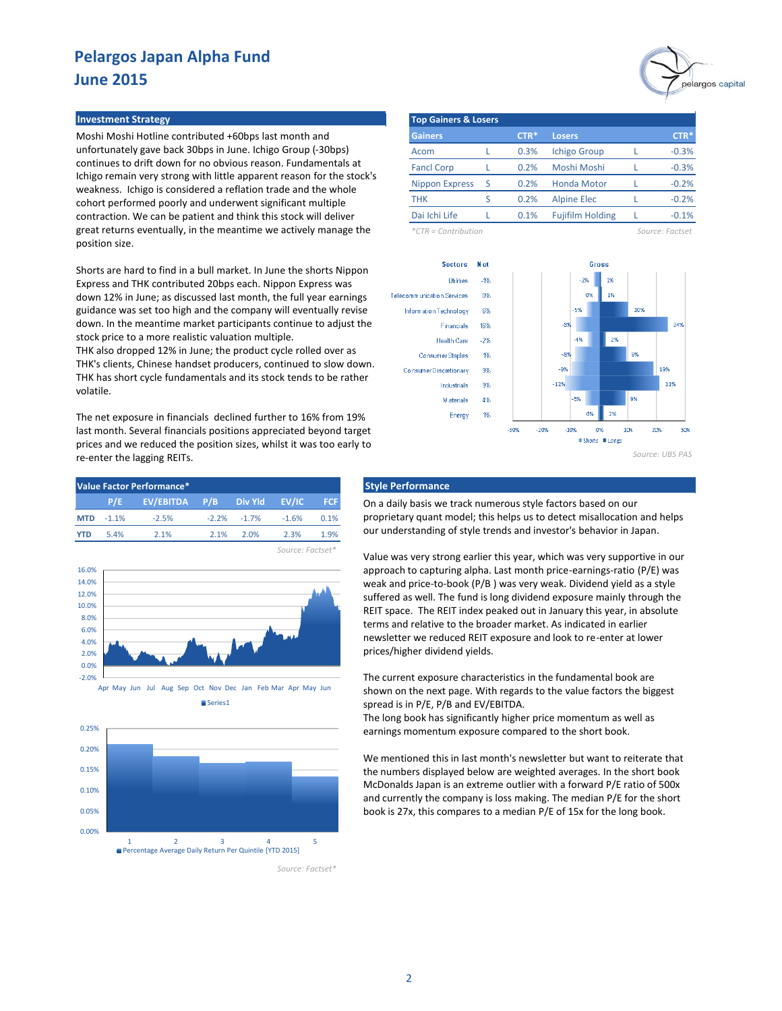#### **Investment Strategy**

Moshi Moshi Hotline contributed +60bps last month and unfortunately gave back 30bps in June. Ichigo Group (-30bps) continues to drift down for no obvious reason. Fundamentals at Ichigo remain very strong with little apparent reason for the stock's weakness. Ichigo is considered a reflation trade and the whole cohort performed poorly and underwent significant multiple contraction. We can be patient and think this stock will deliver great returns eventually, in the meantime we actively manage the position size.

Shorts are hard to find in a bull market. In June the shorts Nippon Express and THK contributed 20bps each. Nippon Express was down 12% in June; as discussed last month, the full year earnings guidance was set too high and the company will eventually revise down. In the meantime market participants continue to adjust the stock price to a more realistic valuation multiple.

THK also dropped 12% in June; the product cycle rolled over as THK's clients, Chinese handset producers, continued to slow down. THK has short cycle fundamentals and its stock tends to be rather volatile.

The net exposure in financials declined further to 16% from 19% last month. Several financials positions appreciated beyond target prices and we reduced the position sizes, whilst it was too early to re-enter the lagging REITs.

| Value Factor Performance* |             |                                 |         |                        |      |            |  |  |  |
|---------------------------|-------------|---------------------------------|---------|------------------------|------|------------|--|--|--|
|                           |             | P/E EV/EBITDA P/B Divinid EV/IC |         |                        |      | <b>FCF</b> |  |  |  |
|                           | $MTD -1.1%$ | $-2.5%$                         |         | $-2.2\% -1.7\% -1.6\%$ |      | 0.1%       |  |  |  |
| <b>YTD</b>                | 5.4%        | 2.1%                            | $2.1\%$ | 2.0%                   | 2.3% | 1.9%       |  |  |  |
|                           |             |                                 |         |                        |      |            |  |  |  |







*Source: Factset\**



|                       | <b>Top Gainers &amp; Losers</b> |        |                         |  |         |  |  |  |  |  |  |  |
|-----------------------|---------------------------------|--------|-------------------------|--|---------|--|--|--|--|--|--|--|
| <b>Gainers</b>        |                                 | $CTR*$ | <b>Losers</b>           |  | $CTR*$  |  |  |  |  |  |  |  |
| Acom                  |                                 | 0.3%   | <b>Ichigo Group</b>     |  | $-0.3%$ |  |  |  |  |  |  |  |
| <b>Fancl Corp</b>     |                                 | 0.2%   | Moshi Moshi             |  | $-0.3%$ |  |  |  |  |  |  |  |
| <b>Nippon Express</b> | S                               | 0.2%   | <b>Honda Motor</b>      |  | $-0.2%$ |  |  |  |  |  |  |  |
| тнк                   | ς                               | 0.2%   | <b>Alpine Elec</b>      |  | $-0.2%$ |  |  |  |  |  |  |  |
| Dai Ichi Life         |                                 | 0.1%   | <b>Fujifilm Holding</b> |  | $-0.1%$ |  |  |  |  |  |  |  |

*\*CTR = Contribution Source: Factset*





## **Style Performance**

On a daily basis we track numerous style factors based on our proprietary quant model; this helps us to detect misallocation and helps our understanding of style trends and investor's behavior in Japan.

Value was very strong earlier this year, which was very supportive in our approach to capturing alpha. Last month price-earnings-ratio (P/E) was weak and price-to-book (P/B ) was very weak. Dividend yield as a style suffered as well. The fund is long dividend exposure mainly through the REIT space. The REIT index peaked out in January this year, in absolute terms and relative to the broader market. As indicated in earlier newsletter we reduced REIT exposure and look to re-enter at lower prices/higher dividend yields.

The current exposure characteristics in the fundamental book are shown on the next page. With regards to the value factors the biggest spread is in P/E, P/B and EV/EBITDA.

The long book has significantly higher price momentum as well as earnings momentum exposure compared to the short book.

We mentioned this in last month's newsletter but want to reiterate that the numbers displayed below are weighted averages. In the short book McDonalds Japan is an extreme outlier with a forward P/E ratio of 500x and currently the company is loss making. The median P/E for the short book is 27x, this compares to a median P/E of 15x for the long book.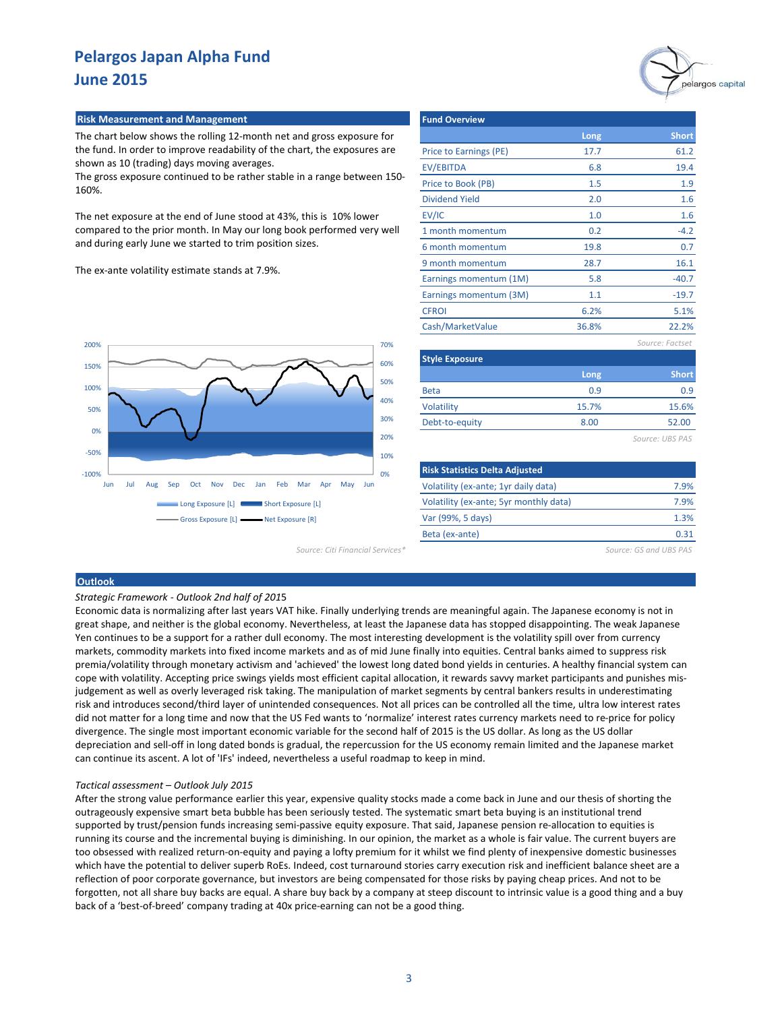

## **Risk Measurement and Management**

The chart below shows the rolling 12-month net and gross exposure for the fund. In order to improve readability of the chart, the exposures are shown as 10 (trading) days moving averages.

The gross exposure continued to be rather stable in a range between 150- 160%.

The net exposure at the end of June stood at 43%, this is 10% lower compared to the prior month. In May our long book performed very well and during early June we started to trim position sizes.

The ex-ante volatility estimate stands at 7.9%.



*Source: Citi Financial Services\* Source: GS and UBS PAS*

| <b>Fund Overview</b>   |       |                 |
|------------------------|-------|-----------------|
|                        | Long  | <b>Short</b>    |
| Price to Earnings (PE) | 17.7  | 61.2            |
| EV/EBITDA              | 6.8   | 19.4            |
| Price to Book (PB)     | 1.5   | 1.9             |
| <b>Dividend Yield</b>  | 2.0   | 1.6             |
| EV/IC                  | 1.0   | 1.6             |
| 1 month momentum       | 0.2   | $-4.2$          |
| 6 month momentum       | 19.8  | 0.7             |
| 9 month momentum       | 28.7  | 16.1            |
| Earnings momentum (1M) | 5.8   | $-40.7$         |
| Earnings momentum (3M) | 1.1   | $-19.7$         |
| <b>CFROI</b>           | 6.2%  | 5.1%            |
| Cash/MarketValue       | 36.8% | 22.2%           |
|                        |       | Source: Factset |

| <b>Style Exposure</b> |       |              |
|-----------------------|-------|--------------|
|                       | Long  | <b>Short</b> |
| <b>Beta</b>           | 0.9   | 0.9          |
| Volatility            | 15.7% | 15.6%        |
| Debt-to-equity        | 8.00  | 52.00        |
|                       |       |              |

*Source: UBS PAS*

| <b>Risk Statistics Delta Adjusted</b>  |      |
|----------------------------------------|------|
| Volatility (ex-ante; 1yr daily data)   | 7.9% |
| Volatility (ex-ante; 5yr monthly data) | 7.9% |
| Var (99%, 5 days)                      | 1.3% |
| Beta (ex-ante)                         | ก จา |

#### **Outlook**

#### *Strategic Framework - Outlook 2nd half of 201*5

Economic data is normalizing after last years VAT hike. Finally underlying trends are meaningful again. The Japanese economy is not in great shape, and neither is the global economy. Nevertheless, at least the Japanese data has stopped disappointing. The weak Japanese Yen continues to be a support for a rather dull economy. The most interesting development is the volatility spill over from currency markets, commodity markets into fixed income markets and as of mid June finally into equities. Central banks aimed to suppress risk premia/volatility through monetary activism and 'achieved' the lowest long dated bond yields in centuries. A healthy financial system can cope with volatility. Accepting price swings yields most efficient capital allocation, it rewards savvy market participants and punishes misjudgement as well as overly leveraged risk taking. The manipulation of market segments by central bankers results in underestimating risk and introduces second/third layer of unintended consequences. Not all prices can be controlled all the time, ultra low interest rates did not matter for a long time and now that the US Fed wants to 'normalize' interest rates currency markets need to re-price for policy divergence. The single most important economic variable for the second half of 2015 is the US dollar. As long as the US dollar depreciation and sell-off in long dated bonds is gradual, the repercussion for the US economy remain limited and the Japanese market can continue its ascent. A lot of 'IFs' indeed, nevertheless a useful roadmap to keep in mind.

#### *Tactical assessment – Outlook July 2015*

After the strong value performance earlier this year, expensive quality stocks made a come back in June and our thesis of shorting the outrageously expensive smart beta bubble has been seriously tested. The systematic smart beta buying is an institutional trend supported by trust/pension funds increasing semi-passive equity exposure. That said, Japanese pension re-allocation to equities is running its course and the incremental buying is diminishing. In our opinion, the market as a whole is fair value. The current buyers are too obsessed with realized return-on-equity and paying a lofty premium for it whilst we find plenty of inexpensive domestic businesses which have the potential to deliver superb RoEs. Indeed, cost turnaround stories carry execution risk and inefficient balance sheet are a reflection of poor corporate governance, but investors are being compensated for those risks by paying cheap prices. And not to be forgotten, not all share buy backs are equal. A share buy back by a company at steep discount to intrinsic value is a good thing and a buy back of a 'best-of-breed' company trading at 40x price-earning can not be a good thing.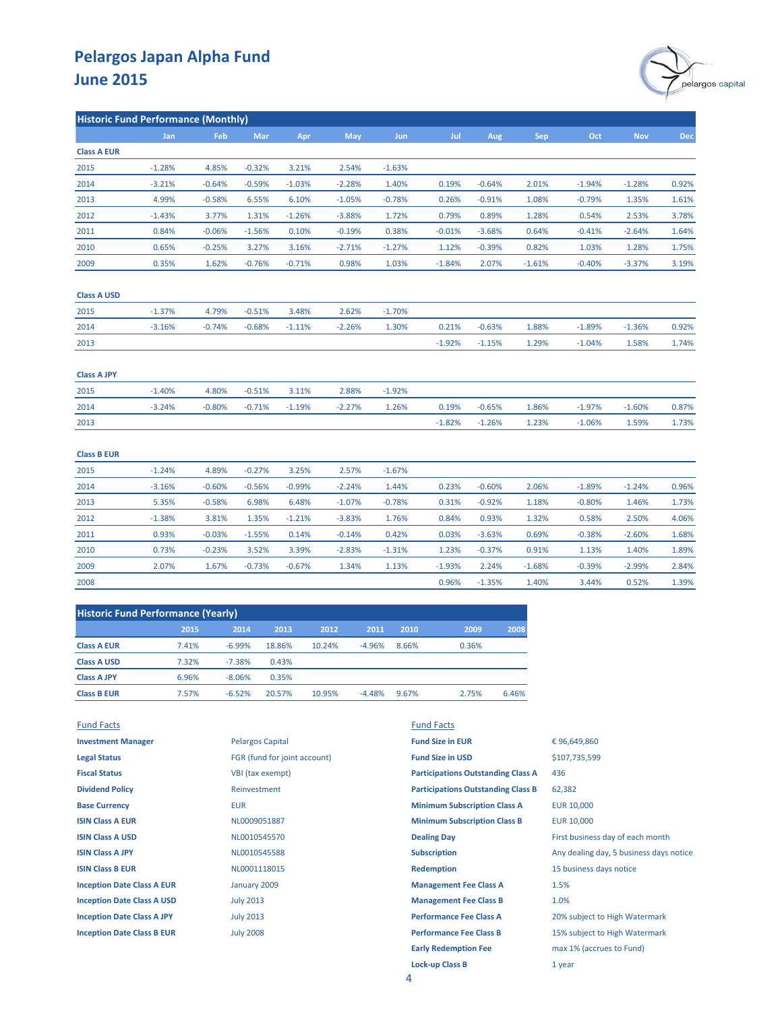

| <b>Historic Fund Performance (Monthly)</b> |          |          |          |          |            |          |          |          |            |          |            |       |
|--------------------------------------------|----------|----------|----------|----------|------------|----------|----------|----------|------------|----------|------------|-------|
|                                            | Jan      | Feb      | Mar      | Apr      | <b>May</b> | Jun      | Jul      | Aug      | <b>Sep</b> | Oct      | <b>Nov</b> | Dec   |
| <b>Class A EUR</b>                         |          |          |          |          |            |          |          |          |            |          |            |       |
| 2015                                       | $-1.28%$ | 4.85%    | $-0.32%$ | 3.21%    | 2.54%      | $-1.63%$ |          |          |            |          |            |       |
| 2014                                       | $-3.21%$ | $-0.64%$ | $-0.59%$ | $-1.03%$ | $-2.28%$   | 1.40%    | 0.19%    | $-0.64%$ | 2.01%      | $-1.94%$ | $-1.28%$   | 0.92% |
| 2013                                       | 4.99%    | $-0.58%$ | 6.55%    | 6.10%    | $-1.05%$   | $-0.78%$ | 0.26%    | $-0.91%$ | 1.08%      | $-0.79%$ | 1.35%      | 1.61% |
| 2012                                       | $-1.43%$ | 3.77%    | 1.31%    | $-1.26%$ | $-3.88%$   | 1.72%    | 0.79%    | 0.89%    | 1.28%      | 0.54%    | 2.53%      | 3.78% |
| 2011                                       | 0.84%    | $-0.06%$ | $-1.56%$ | 0.10%    | $-0.19%$   | 0.38%    | $-0.01%$ | $-3.68%$ | 0.64%      | $-0.41%$ | $-2.64%$   | 1.64% |
| 2010                                       | 0.65%    | $-0.25%$ | 3.27%    | 3.16%    | $-2.71%$   | $-1.27%$ | 1.12%    | $-0.39%$ | 0.82%      | 1.03%    | 1.28%      | 1.75% |
| 2009                                       | 0.35%    | 1.62%    | $-0.76%$ | $-0.71%$ | 0.98%      | 1.03%    | $-1.84%$ | 2.07%    | $-1.61%$   | $-0.40%$ | $-3.37%$   | 3.19% |
| <b>Class A USD</b>                         |          |          |          |          |            |          |          |          |            |          |            |       |
| 2015                                       | $-1.37%$ | 4.79%    | $-0.51%$ | 3.48%    | 2.62%      | $-1.70%$ |          |          |            |          |            |       |
| 2014                                       | $-3.16%$ | $-0.74%$ | $-0.68%$ | $-1.11%$ | $-2.26%$   | 1.30%    | 0.21%    | $-0.63%$ | 1.88%      | $-1.89%$ | $-1.36%$   | 0.92% |
| 2013                                       |          |          |          |          |            |          | $-1.92%$ | $-1.15%$ | 1.29%      | $-1.04%$ | 1.58%      | 1.74% |
| <b>Class A JPY</b>                         |          |          |          |          |            |          |          |          |            |          |            |       |
| 2015                                       | $-1.40%$ | 4.80%    | $-0.51%$ | 3.11%    | 2.88%      | $-1.92%$ |          |          |            |          |            |       |
| 2014                                       | $-3.24%$ | $-0.80%$ | $-0.71%$ | $-1.19%$ | $-2.27%$   | 1.26%    | 0.19%    | $-0.65%$ | 1.86%      | $-1.97%$ | $-1.60%$   | 0.87% |
| 2013                                       |          |          |          |          |            |          | $-1.82%$ | $-1.26%$ | 1.23%      | $-1.06%$ | 1.59%      | 1.73% |
| <b>Class B EUR</b>                         |          |          |          |          |            |          |          |          |            |          |            |       |
| 2015                                       | $-1.24%$ | 4.89%    | $-0.27%$ | 3.25%    | 2.57%      | $-1.67%$ |          |          |            |          |            |       |
| 2014                                       | $-3.16%$ | $-0.60%$ | $-0.56%$ | $-0.99%$ | $-2.24%$   | 1.44%    | 0.23%    | $-0.60%$ | 2.06%      | $-1.89%$ | $-1.24%$   | 0.96% |
| 2013                                       | 5.35%    | $-0.58%$ | 6.98%    | 6.48%    | $-1.07%$   | $-0.78%$ | 0.31%    | $-0.92%$ | 1.18%      | $-0.80%$ | 1.46%      | 1.73% |
| 2012                                       | $-1.38%$ | 3.81%    | 1.35%    | $-1.21%$ | $-3.83%$   | 1.76%    | 0.84%    | 0.93%    | 1.32%      | 0.58%    | 2.50%      | 4.06% |
| 2011                                       | 0.93%    | $-0.03%$ | $-1.55%$ | 0.14%    | $-0.14%$   | 0.42%    | 0.03%    | $-3.63%$ | 0.69%      | $-0.38%$ | $-2.60%$   | 1.68% |
| 2010                                       | 0.73%    | $-0.23%$ | 3.52%    | 3.39%    | $-2.83%$   | $-1.31%$ | 1.23%    | $-0.37%$ | 0.91%      | 1.13%    | 1.40%      | 1.89% |
| 2009                                       | 2.07%    | 1.67%    | $-0.73%$ | $-0.67%$ | 1.34%      | 1.13%    | $-1.93%$ | 2.24%    | $-1.68%$   | $-0.39%$ | $-2.99%$   | 2.84% |
| 2008                                       |          |          |          |          |            |          | 0.96%    | $-1.35%$ | 1.40%      | 3.44%    | 0.52%      | 1.39% |
|                                            |          |          |          |          |            |          |          |          |            |          |            |       |

| <b>Historic Fund Performance (Yearly)</b> |       |          |        |        |          |       |       |       |  |
|-------------------------------------------|-------|----------|--------|--------|----------|-------|-------|-------|--|
|                                           | 2015  | 2014     | 2013   | 2012   | 2011     | 2010  | 2009  | 2008  |  |
| <b>Class A EUR</b>                        | 7.41% | $-6.99%$ | 18.86% | 10.24% | $-4.96%$ | 8.66% | 0.36% |       |  |
| <b>Class A USD</b>                        | 7.32% | $-7.38%$ | 0.43%  |        |          |       |       |       |  |
| <b>Class A JPY</b>                        | 6.96% | $-8.06%$ | 0.35%  |        |          |       |       |       |  |
| <b>Class B EUR</b>                        | 7.57% | $-6.52%$ | 20.57% | 10.95% | $-4.48%$ | 9.67% | 2.75% | 6.46% |  |
|                                           |       |          |        |        |          |       |       |       |  |

| <b>Fund Facts</b>                 |                              | <b>Fund Facts</b>                         |                                         |
|-----------------------------------|------------------------------|-------------------------------------------|-----------------------------------------|
| <b>Investment Manager</b>         | <b>Pelargos Capital</b>      | <b>Fund Size in EUR</b>                   | €96,649,860                             |
| <b>Legal Status</b>               | FGR (fund for joint account) | <b>Fund Size in USD</b>                   | \$107,735,599                           |
| <b>Fiscal Status</b>              | VBI (tax exempt)             | <b>Participations Outstanding Class A</b> | 436                                     |
| <b>Dividend Policy</b>            | Reinvestment                 | <b>Participations Outstanding Class B</b> | 62,382                                  |
| <b>Base Currency</b>              | <b>EUR</b>                   | <b>Minimum Subscription Class A</b>       | <b>EUR 10,000</b>                       |
| <b>ISIN Class A EUR</b>           | NL0009051887                 | <b>Minimum Subscription Class B</b>       | EUR 10,000                              |
| <b>ISIN Class A USD</b>           | NL0010545570                 | <b>Dealing Day</b>                        | First business day of each month        |
| <b>ISIN Class A JPY</b>           | NL0010545588                 | <b>Subscription</b>                       | Any dealing day, 5 business days notice |
| <b>ISIN Class B EUR</b>           | NL0001118015                 | <b>Redemption</b>                         | 15 business days notice                 |
| <b>Inception Date Class A EUR</b> | January 2009                 | <b>Management Fee Class A</b>             | 1.5%                                    |
| <b>Inception Date Class A USD</b> | <b>July 2013</b>             | <b>Management Fee Class B</b>             | 1.0%                                    |
| <b>Inception Date Class A JPY</b> | <b>July 2013</b>             | <b>Performance Fee Class A</b>            | 20% subject to High Watermark           |
| <b>Inception Date Class B EUR</b> | <b>July 2008</b>             | <b>Performance Fee Class B</b>            | 15% subject to High Watermark           |
|                                   |                              | <b>Early Redemption Fee</b>               | max 1% (accrues to Fund)                |
|                                   |                              | <b>Lock-up Class B</b>                    | 1 year                                  |